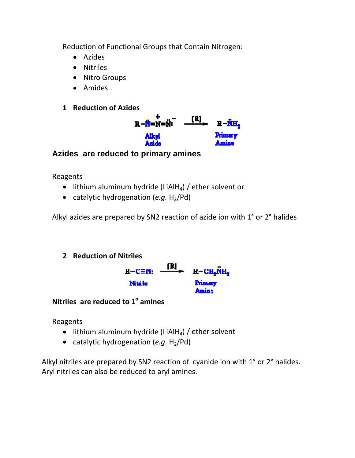Reduction of Functional Groups that Contain Nitrogen:

- Azides
- Nitriles
- Nitro Groups
- Amides

## **1 Reduction of Azides**



## **Azides are reduced to primary amines**

Reagents

- $\bullet$  lithium aluminum hydride (LiAlH<sub>4</sub>) / ether solvent or
- catalytic hydrogenation  $(e.g. H<sub>2</sub>/Pd)$

Alkyl azides are prepared by SN2 reaction of azide ion with 1° or 2° halides

## **2 Reduction of Nitriles**



**Nitriles are reduced to 1o amines** 

Reagents

- $\bullet$  lithium aluminum hydride (LiAlH<sub>4</sub>) / ether solvent
- catalytic hydrogenation  $(e.g. H<sub>2</sub>/Pd)$

Alkyl nitriles are prepared by SN2 reaction of cyanide ion with 1° or 2° halides. Aryl nitriles can also be reduced to aryl amines.